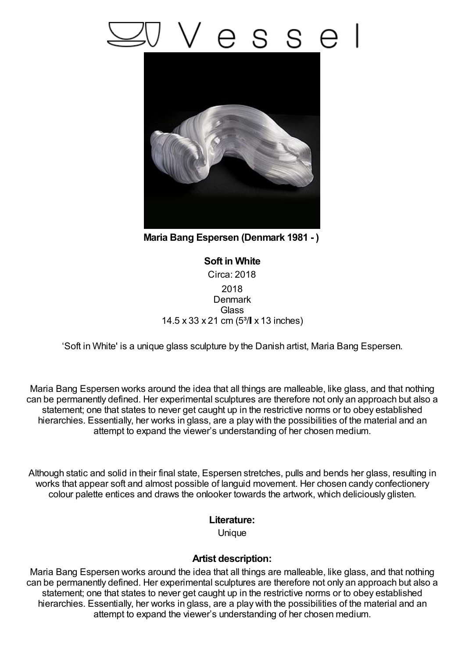## esse



**Maria Bang Espersen (Denmark 1981 - )**

**Soft in White** Circa: 2018 2018 **Denmark Glass** 14.5  $\times$  33  $\times$  21 cm (5<sup>3</sup>/ $\times$  13 inches)

'Soft in White' is a unique glass sculpture by the Danish artist, Maria Bang Espersen.

Maria Bang Espersen works around the idea that all things are malleable, like glass, and that nothing can be permanently defined. Her experimental sculptures are therefore not only an approach but also a statement; one that states to never get caught up in the restrictive norms or to obey established hierarchies. Essentially, her works in glass, are a play with the possibilities of the material and an attempt to expand the viewer's understanding of her chosen medium.

Although static and solid in their final state, Espersen stretches, pulls and bends her glass, resulting in works that appear soft and almost possible of languid movement. Her chosen candy confectionery colour palette entices and draws the onlooker towards the artwork, which deliciously glisten.

## **Literature:**

Unique

## **Artist description:**

Maria Bang Espersen works around the idea that all things are malleable, like glass, and that nothing can be permanently defined. Her experimental sculptures are therefore not only an approach but also a statement; one that states to never get caught up in the restrictive norms or to obey established hierarchies. Essentially, her works in glass, are a play with the possibilities of the material and an attempt to expand the viewer's understanding of her chosen medium.